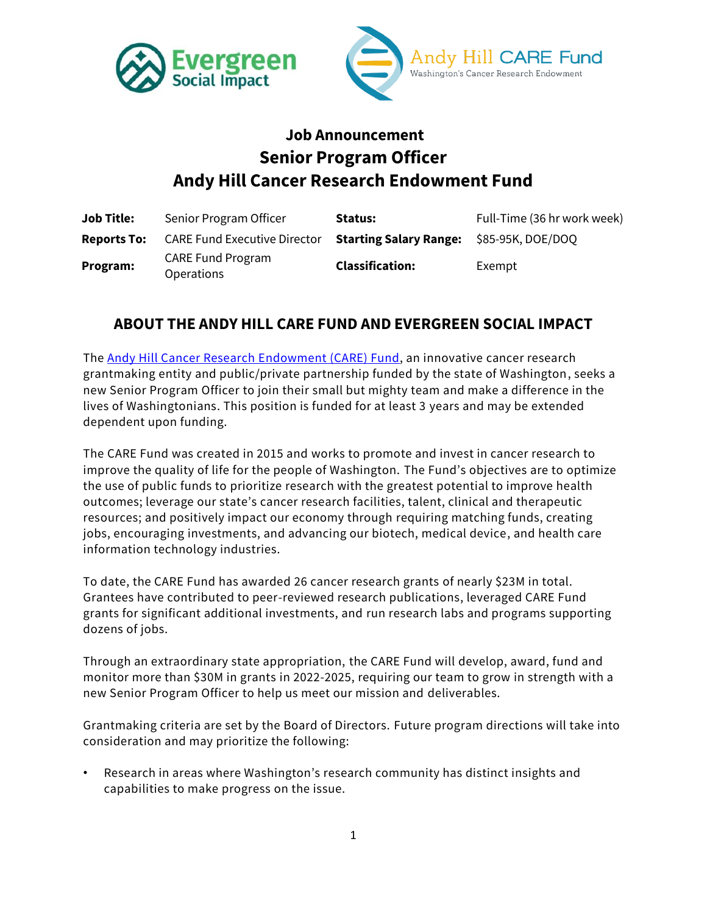



# **Job Announcement Senior Program Officer Andy Hill Cancer Research Endowment Fund**

| <b>Job Title:</b>  | Senior Program Officer                        | Status:                                         | Full-Time (36 hr work week) |
|--------------------|-----------------------------------------------|-------------------------------------------------|-----------------------------|
| <b>Reports To:</b> | <b>CARE Fund Executive Director</b>           | <b>Starting Salary Range: \$85-95K, DOE/DOQ</b> |                             |
| Program:           | <b>CARE Fund Program</b><br><b>Operations</b> | <b>Classification:</b>                          | Exempt                      |

#### **ABOUT THE ANDY HILL CARE FUND AND EVERGREEN SOCIAL IMPACT**

The [Andy Hill Cancer Research](http://www.wacarefund.org/) Endowment (CARE) Fund, an innovative cancer research grantmaking entity and public/private partnership funded by the state of Washington, seeks a new Senior Program Officer to join their small but mighty team and make a difference in the lives of Washingtonians. This position is funded for at least 3 years and may be extended dependent upon funding.

The CARE Fund was created in 2015 and works to promote and invest in cancer research to improve the quality of life for the people of Washington. The Fund's objectives are to optimize the use of public funds to prioritize research with the greatest potential to improve health outcomes; leverage our state's cancer research facilities, talent, clinical and therapeutic resources; and positively impact our economy through requiring matching funds, creating jobs, encouraging investments, and advancing our biotech, medical device, and health care information technology industries.

To date, the CARE Fund has awarded 26 cancer research grants of nearly \$23M in total. Grantees have contributed to peer-reviewed research publications, leveraged CARE Fund grants for significant additional investments, and run research labs and programs supporting dozens of jobs.

Through an extraordinary state appropriation, the CARE Fund will develop, award, fund and monitor more than \$30M in grants in 2022-2025, requiring our team to grow in strength with a new Senior Program Officer to help us meet our mission and deliverables.

Grantmaking criteria are set by the Board of Directors. Future program directions will take into consideration and may prioritize the following:

• Research in areas where Washington's research community has distinct insights and capabilities to make progress on the issue.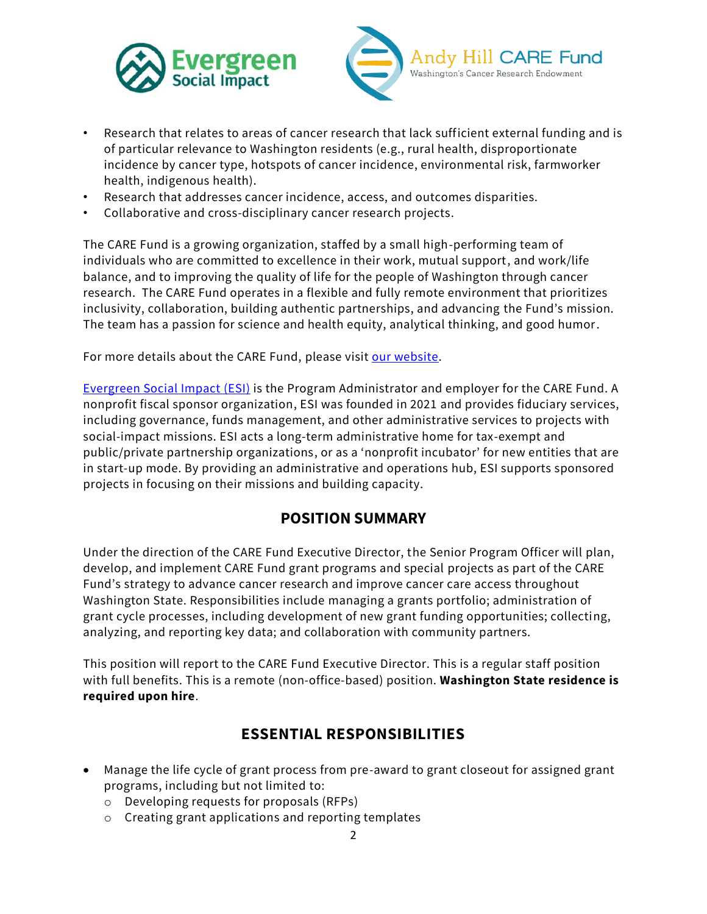



- Research that relates to areas of cancer research that lack sufficient external funding and is of particular relevance to Washington residents (e.g., rural health, disproportionate incidence by cancer type, hotspots of cancer incidence, environmental risk, farmworker health, indigenous health).
- Research that addresses cancer incidence, access, and outcomes disparities.
- Collaborative and cross-disciplinary cancer research projects.

The CARE Fund is a growing organization, staffed by a small high-performing team of individuals who are committed to excellence in their work, mutual support, and work/life balance, and to improving the quality of life for the people of Washington through cancer research. The CARE Fund operates in a flexible and fully remote environment that prioritizes inclusivity, collaboration, building authentic partnerships, and advancing the Fund's mission. The team has a passion for science and health equity, analytical thinking, and good humor.

For more details about the CARE Fund, please visit [our website.](http://www.wacarefund.org/)

[Evergreen Social Impact](http://www.evergreensocialimpact.org/) (ESI) is the Program Administrator and employer for the CARE Fund. A nonprofit fiscal sponsor organization, ESI was founded in 2021 and provides fiduciary services, including governance, funds management, and other administrative services to projects with social-impact missions. ESI acts a long-term administrative home for tax-exempt and public/private partnership organizations, or as a 'nonprofit incubator' for new entities that are in start-up mode. By providing an administrative and operations hub, ESI supports sponsored projects in focusing on their missions and building capacity.

#### **POSITION SUMMARY**

Under the direction of the CARE Fund Executive Director, the Senior Program Officer will plan, develop, and implement CARE Fund grant programs and special projects as part of the CARE Fund's strategy to advance cancer research and improve cancer care access throughout Washington State. Responsibilities include managing a grants portfolio; administration of grant cycle processes, including development of new grant funding opportunities; collecting, analyzing, and reporting key data; and collaboration with community partners.

This position will report to the CARE Fund Executive Director. This is a regular staff position with full benefits. This is a remote (non-office-based) position. **Washington State residence is required upon hire**.

#### **ESSENTIAL RESPONSIBILITIES**

- Manage the life cycle of grant process from pre-award to grant closeout for assigned grant programs, including but not limited to:
	- o Developing requests for proposals (RFPs)
	- o Creating grant applications and reporting templates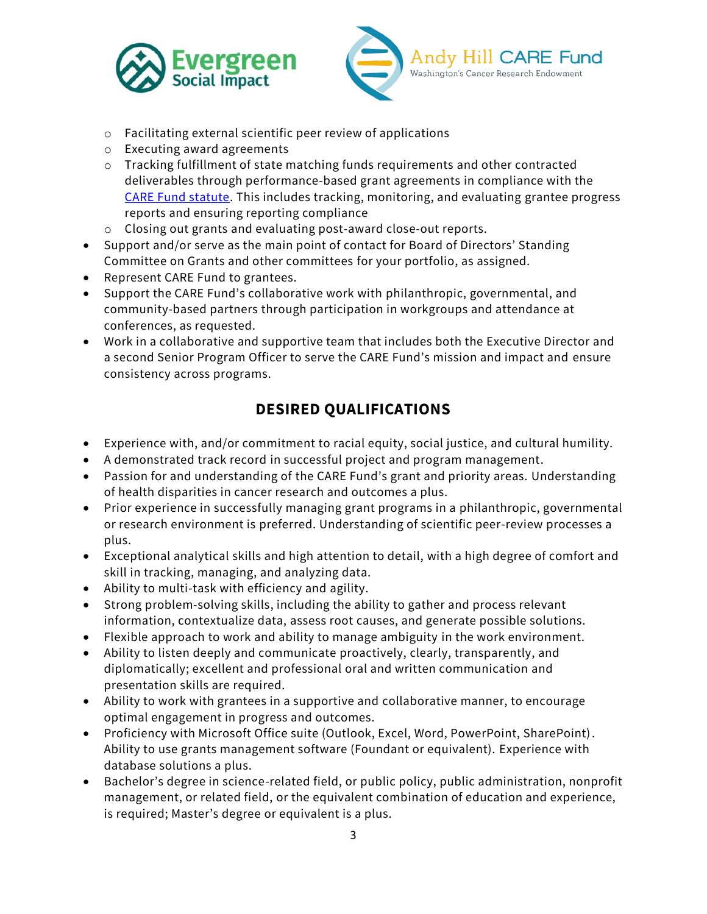



- o Facilitating external scientific peer review of applications
- o Executing award agreements
- o Tracking fulfillment of state matching funds requirements and other contracted deliverables through performance-based grant agreements in compliance with the [CARE Fund statute.](https://app.leg.wa.gov/RCW/default.aspx?cite=43.348) This includes tracking, monitoring, and evaluating grantee progress reports and ensuring reporting compliance
- o Closing out grants and evaluating post-award close-out reports.
- Support and/or serve as the main point of contact for Board of Directors' Standing Committee on Grants and other committees for your portfolio, as assigned.
- Represent CARE Fund to grantees.
- Support the CARE Fund's collaborative work with philanthropic, governmental, and community-based partners through participation in workgroups and attendance at conferences, as requested.
- Work in a collaborative and supportive team that includes both the Executive Director and a second Senior Program Officer to serve the CARE Fund's mission and impact and ensure consistency across programs.

### **DESIRED QUALIFICATIONS**

- Experience with, and/or commitment to racial equity, social justice, and cultural humility.
- A demonstrated track record in successful project and program management.
- Passion for and understanding of the CARE Fund's grant and priority areas. Understanding of health disparities in cancer research and outcomes a plus.
- Prior experience in successfully managing grant programs in a philanthropic, governmental or research environment is preferred. Understanding of scientific peer-review processes a plus.
- Exceptional analytical skills and high attention to detail, with a high degree of comfort and skill in tracking, managing, and analyzing data.
- Ability to multi-task with efficiency and agility.
- Strong problem-solving skills, including the ability to gather and process relevant information, contextualize data, assess root causes, and generate possible solutions.
- Flexible approach to work and ability to manage ambiguity in the work environment.
- Ability to listen deeply and communicate proactively, clearly, transparently, and diplomatically; excellent and professional oral and written communication and presentation skills are required.
- Ability to work with grantees in a supportive and collaborative manner, to encourage optimal engagement in progress and outcomes.
- Proficiency with Microsoft Office suite (Outlook, Excel, Word, PowerPoint, SharePoint). Ability to use grants management software (Foundant or equivalent). Experience with database solutions a plus.
- Bachelor's degree in science-related field, or public policy, public administration, nonprofit management, or related field, or the equivalent combination of education and experience, is required; Master's degree or equivalent is a plus.